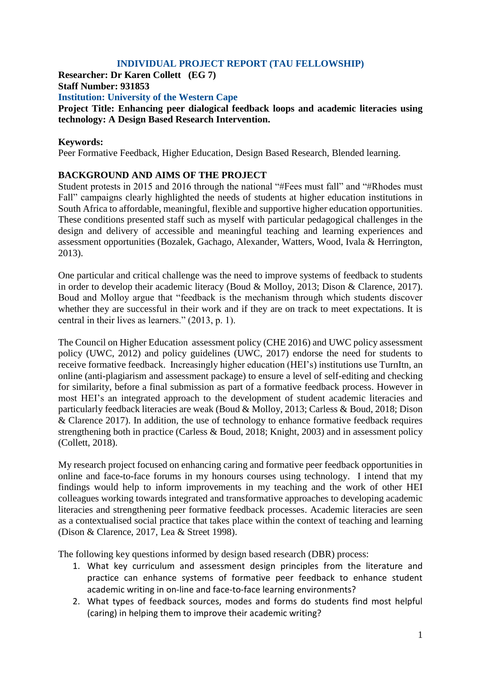# **INDIVIDUAL PROJECT REPORT (TAU FELLOWSHIP)**

**Researcher: Dr Karen Collett (EG 7) Staff Number: 931853 Institution: University of the Western Cape Project Title: Enhancing peer dialogical feedback loops and academic literacies using technology: A Design Based Research Intervention.**

#### **Keywords:**

Peer Formative Feedback, Higher Education, Design Based Research, Blended learning.

## **BACKGROUND AND AIMS OF THE PROJECT**

Student protests in 2015 and 2016 through the national "#Fees must fall" and "#Rhodes must Fall" campaigns clearly highlighted the needs of students at higher education institutions in South Africa to affordable, meaningful, flexible and supportive higher education opportunities. These conditions presented staff such as myself with particular pedagogical challenges in the design and delivery of accessible and meaningful teaching and learning experiences and assessment opportunities (Bozalek, Gachago, Alexander, Watters, Wood, Ivala & Herrington, 2013).

One particular and critical challenge was the need to improve systems of feedback to students in order to develop their academic literacy (Boud & Molloy, 2013; Dison & Clarence, 2017). Boud and Molloy argue that "feedback is the mechanism through which students discover whether they are successful in their work and if they are on track to meet expectations. It is central in their lives as learners." (2013, p. 1).

The Council on Higher Education assessment policy (CHE 2016) and UWC policy assessment policy (UWC, 2012) and policy guidelines (UWC, 2017) endorse the need for students to receive formative feedback. Increasingly higher education (HEI's) institutions use TurnItn, an online (anti-plagiarism and assessment package) to ensure a level of self-editing and checking for similarity, before a final submission as part of a formative feedback process. However in most HEI's an integrated approach to the development of student academic literacies and particularly feedback literacies are weak (Boud & Molloy, 2013; Carless & Boud, 2018; Dison & Clarence 2017). In addition, the use of technology to enhance formative feedback requires strengthening both in practice (Carless & Boud, 2018; Knight, 2003) and in assessment policy (Collett, 2018).

My research project focused on enhancing caring and formative peer feedback opportunities in online and face-to-face forums in my honours courses using technology. I intend that my findings would help to inform improvements in my teaching and the work of other HEI colleagues working towards integrated and transformative approaches to developing academic literacies and strengthening peer formative feedback processes. Academic literacies are seen as a contextualised social practice that takes place within the context of teaching and learning (Dison & Clarence, 2017, Lea & Street 1998).

The following key questions informed by design based research (DBR) process:

- 1. What key curriculum and assessment design principles from the literature and practice can enhance systems of formative peer feedback to enhance student academic writing in on-line and face-to-face learning environments?
- 2. What types of feedback sources, modes and forms do students find most helpful (caring) in helping them to improve their academic writing?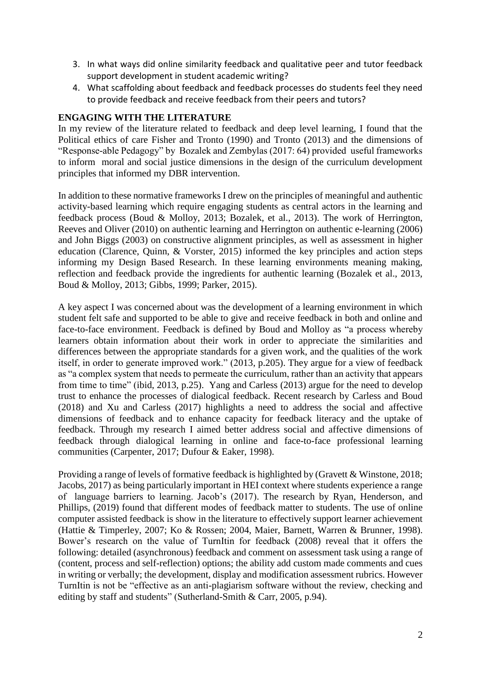- 3. In what ways did online similarity feedback and qualitative peer and tutor feedback support development in student academic writing?
- 4. What scaffolding about feedback and feedback processes do students feel they need to provide feedback and receive feedback from their peers and tutors?

## **ENGAGING WITH THE LITERATURE**

In my review of the literature related to feedback and deep level learning, I found that the Political ethics of care Fisher and Tronto (1990) and Tronto (2013) and the dimensions of "Response-able Pedagogy" by Bozalek and Zembylas (2017: 64) provided useful frameworks to inform moral and social justice dimensions in the design of the curriculum development principles that informed my DBR intervention.

In addition to these normative frameworks I drew on the principles of meaningful and authentic activity-based learning which require engaging students as central actors in the learning and feedback process (Boud & Molloy, 2013; Bozalek, et al., 2013). The work of Herrington, Reeves and Oliver (2010) on authentic learning and Herrington on authentic e-learning (2006) and John Biggs (2003) on constructive alignment principles, as well as assessment in higher education (Clarence, Quinn, & Vorster, 2015) informed the key principles and action steps informing my Design Based Research. In these learning environments meaning making, reflection and feedback provide the ingredients for authentic learning (Bozalek et al., 2013, Boud & Molloy, 2013; Gibbs, 1999; Parker, 2015).

A key aspect I was concerned about was the development of a learning environment in which student felt safe and supported to be able to give and receive feedback in both and online and face-to-face environment. Feedback is defined by Boud and Molloy as "a process whereby learners obtain information about their work in order to appreciate the similarities and differences between the appropriate standards for a given work, and the qualities of the work itself, in order to generate improved work." (2013, p.205). They argue for a view of feedback as "a complex system that needs to permeate the curriculum, rather than an activity that appears from time to time" (ibid, 2013, p.25). Yang and Carless (2013) argue for the need to develop trust to enhance the processes of dialogical feedback. Recent research by Carless and Boud (2018) and Xu and Carless (2017) highlights a need to address the social and affective dimensions of feedback and to enhance capacity for feedback literacy and the uptake of feedback. Through my research I aimed better address social and affective dimensions of feedback through dialogical learning in online and face-to-face professional learning communities (Carpenter, 2017; Dufour & Eaker, 1998).

Providing a range of levels of formative feedback is highlighted by (Gravett & Winstone, 2018; Jacobs, 2017) as being particularly important in HEI context where students experience a range of language barriers to learning. Jacob's (2017). The research by Ryan, Henderson, and Phillips, (2019) found that different modes of feedback matter to students. The use of online computer assisted feedback is show in the literature to effectively support learner achievement (Hattie & Timperley, 2007; Ko & Rossen; 2004, Maier, Barnett, Warren & Brunner, 1998). Bower's research on the value of TurnItin for feedback (2008) reveal that it offers the following: detailed (asynchronous) feedback and comment on assessment task using a range of (content, process and self-reflection) options; the ability add custom made comments and cues in writing or verbally; the development, display and modification assessment rubrics. However TurnItin is not be "effective as an anti-plagiarism software without the review, checking and editing by staff and students" (Sutherland-Smith & Carr, 2005, p.94).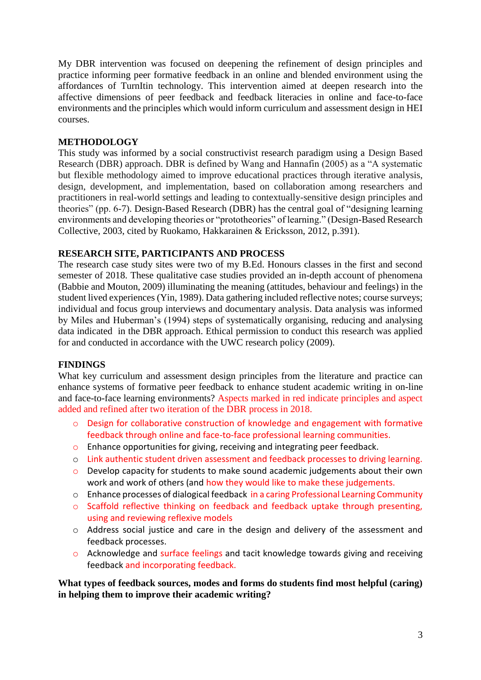My DBR intervention was focused on deepening the refinement of design principles and practice informing peer formative feedback in an online and blended environment using the affordances of TurnItin technology. This intervention aimed at deepen research into the affective dimensions of peer feedback and feedback literacies in online and face-to-face environments and the principles which would inform curriculum and assessment design in HEI courses.

## **METHODOLOGY**

This study was informed by a social constructivist research paradigm using a Design Based Research (DBR) approach. DBR is defined by Wang and Hannafin (2005) as a "A systematic but flexible methodology aimed to improve educational practices through iterative analysis, design, development, and implementation, based on collaboration among researchers and practitioners in real-world settings and leading to contextually-sensitive design principles and theories" (pp. 6-7). Design-Based Research (DBR) has the central goal of "designing learning environments and developing theories or "prototheories" of learning." (Design-Based Research Collective, 2003, cited by Ruokamo, Hakkarainen & Ericksson, 2012, p.391).

#### **RESEARCH SITE, PARTICIPANTS AND PROCESS**

The research case study sites were two of my B.Ed. Honours classes in the first and second semester of 2018. These qualitative case studies provided an in-depth account of phenomena (Babbie and Mouton, 2009) illuminating the meaning (attitudes, behaviour and feelings) in the student lived experiences (Yin, 1989). Data gathering included reflective notes; course surveys; individual and focus group interviews and documentary analysis. Data analysis was informed by Miles and Huberman's (1994) steps of systematically organising, reducing and analysing data indicated in the DBR approach. Ethical permission to conduct this research was applied for and conducted in accordance with the UWC research policy (2009).

## **FINDINGS**

What key curriculum and assessment design principles from the literature and practice can enhance systems of formative peer feedback to enhance student academic writing in on-line and face-to-face learning environments? Aspects marked in red indicate principles and aspect added and refined after two iteration of the DBR process in 2018.

- o Design for collaborative construction of knowledge and engagement with formative feedback through online and face-to-face professional learning communities.
- o Enhance opportunities for giving, receiving and integrating peer feedback.
- o Link authentic student driven assessment and feedback processes to driving learning.
- o Develop capacity for students to make sound academic judgements about their own work and work of others (and how they would like to make these judgements.
- o Enhance processes of dialogical feedback in a caring Professional Learning Community
- o Scaffold reflective thinking on feedback and feedback uptake through presenting, using and reviewing reflexive models
- o Address social justice and care in the design and delivery of the assessment and feedback processes.
- o Acknowledge and surface feelings and tacit knowledge towards giving and receiving feedback and incorporating feedback.

**What types of feedback sources, modes and forms do students find most helpful (caring) in helping them to improve their academic writing?**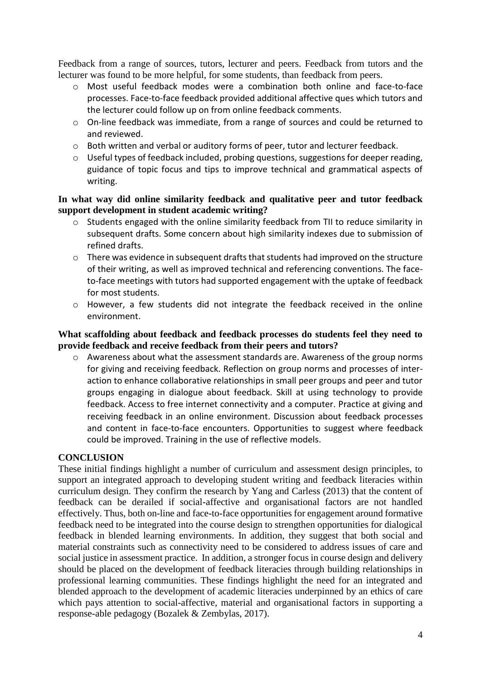Feedback from a range of sources, tutors, lecturer and peers. Feedback from tutors and the lecturer was found to be more helpful, for some students, than feedback from peers.

- o Most useful feedback modes were a combination both online and face-to-face processes. Face-to-face feedback provided additional affective ques which tutors and the lecturer could follow up on from online feedback comments.
- $\circ$  On-line feedback was immediate, from a range of sources and could be returned to and reviewed.
- o Both written and verbal or auditory forms of peer, tutor and lecturer feedback.
- o Useful types of feedback included, probing questions, suggestions for deeper reading, guidance of topic focus and tips to improve technical and grammatical aspects of writing.

## **In what way did online similarity feedback and qualitative peer and tutor feedback support development in student academic writing?**

- o Students engaged with the online similarity feedback from TII to reduce similarity in subsequent drafts. Some concern about high similarity indexes due to submission of refined drafts.
- o There was evidence in subsequent drafts that students had improved on the structure of their writing, as well as improved technical and referencing conventions. The faceto-face meetings with tutors had supported engagement with the uptake of feedback for most students.
- o However, a few students did not integrate the feedback received in the online environment.

## **What scaffolding about feedback and feedback processes do students feel they need to provide feedback and receive feedback from their peers and tutors?**

o Awareness about what the assessment standards are. Awareness of the group norms for giving and receiving feedback. Reflection on group norms and processes of interaction to enhance collaborative relationships in small peer groups and peer and tutor groups engaging in dialogue about feedback. Skill at using technology to provide feedback. Access to free internet connectivity and a computer. Practice at giving and receiving feedback in an online environment. Discussion about feedback processes and content in face-to-face encounters. Opportunities to suggest where feedback could be improved. Training in the use of reflective models.

## **CONCLUSION**

These initial findings highlight a number of curriculum and assessment design principles, to support an integrated approach to developing student writing and feedback literacies within curriculum design. They confirm the research by Yang and Carless (2013) that the content of feedback can be derailed if social-affective and organisational factors are not handled effectively. Thus, both on-line and face-to-face opportunities for engagement around formative feedback need to be integrated into the course design to strengthen opportunities for dialogical feedback in blended learning environments. In addition, they suggest that both social and material constraints such as connectivity need to be considered to address issues of care and social justice in assessment practice. In addition, a stronger focus in course design and delivery should be placed on the development of feedback literacies through building relationships in professional learning communities. These findings highlight the need for an integrated and blended approach to the development of academic literacies underpinned by an ethics of care which pays attention to social-affective, material and organisational factors in supporting a response-able pedagogy (Bozalek & Zembylas, 2017).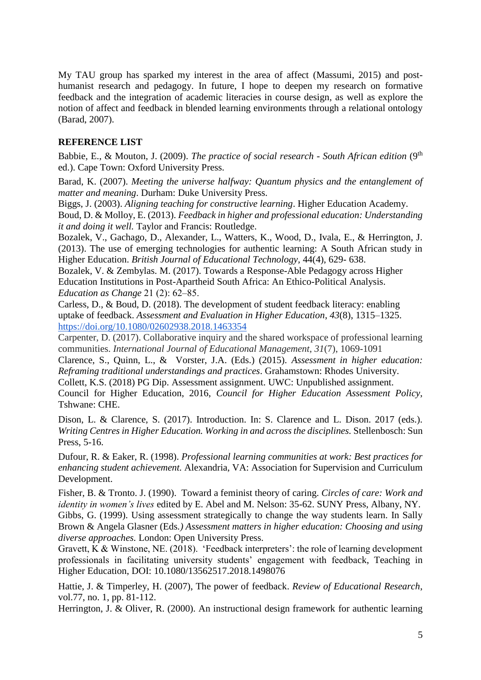My TAU group has sparked my interest in the area of affect (Massumi, 2015) and posthumanist research and pedagogy. In future, I hope to deepen my research on formative feedback and the integration of academic literacies in course design, as well as explore the notion of affect and feedback in blended learning environments through a relational ontology (Barad, 2007).

# **REFERENCE LIST**

Babbie, E., & Mouton, J. (2009). *The practice of social research - South African edition* (9<sup>th</sup> ed.). Cape Town: Oxford University Press.

Barad, K. (2007). *Meeting the universe halfway: Quantum physics and the entanglement of matter and meaning*. Durham: Duke University Press.

Biggs, J. (2003). *Aligning teaching for constructive learning*. Higher Education Academy.

Boud, D. & Molloy, E. (2013). *Feedback in higher and professional education: Understanding it and doing it well.* Taylor and Francis: Routledge.

Bozalek, V., Gachago, D., Alexander, L., Watters, K., Wood, D., Ivala, E., & Herrington, J. (2013). The use of emerging technologies for authentic learning: A South African study in Higher Education. *British Journal of Educational Technology,* 44(4), 629- 638.

Bozalek, V. & Zembylas. M. (2017). Towards a Response-Able Pedagogy across Higher Education Institutions in Post-Apartheid South Africa: An Ethico-Political Analysis. *Education as Change* 21 (2): 62–85.

Carless, D., & Boud, D. (2018). The development of student feedback literacy: enabling uptake of feedback. *Assessment and Evaluation in Higher Education*, *43*(8), 1315–1325. <https://doi.org/10.1080/02602938.2018.1463354>

Carpenter, D. (2017). Collaborative inquiry and the shared workspace of professional learning communities. *International Journal of Educational Management*, *31*(7), 1069-1091

Clarence, S., Quinn, L., & Vorster, J.A. (Eds.) (2015). *Assessment in higher education: Reframing traditional understandings and practices*. Grahamstown: Rhodes University.

Collett, K.S. (2018) PG Dip. Assessment assignment. UWC: Unpublished assignment.

Council for Higher Education, 2016, *Council for Higher Education Assessment Policy*, Tshwane: CHE.

Dison, L. & Clarence, S. (2017). Introduction. In: S. Clarence and L. Dison. 2017 (eds.). *Writing Centres in Higher Education. Working in and across the disciplines.* Stellenbosch: Sun Press, 5-16.

Dufour, R. & Eaker, R. (1998). *Professional learning communities at work: Best practices for enhancing student achievement.* Alexandria, VA: Association for Supervision and Curriculum Development.

Fisher, B. & Tronto. J. (1990). Toward a feminist theory of caring. *Circles of care: Work and identity in women's lives* edited by E. Abel and M. Nelson: 35-62. SUNY Press, Albany, NY.

Gibbs, G. (1999). Using assessment strategically to change the way students learn. In Sally Brown & Angela Glasner (Eds*.) Assessment matters in higher education: Choosing and using diverse approaches.* London: Open University Press.

Gravett, K & Winstone, NE. (2018). 'Feedback interpreters': the role of learning development professionals in facilitating university students' engagement with feedback, Teaching in Higher Education, DOI: 10.1080/13562517.2018.1498076

Hattie, J. & Timperley, H. (2007), The power of feedback. *Review of Educational Research*, vol.77, no. 1, pp. 81-112.

Herrington, J. & Oliver, R. (2000). An instructional design framework for authentic learning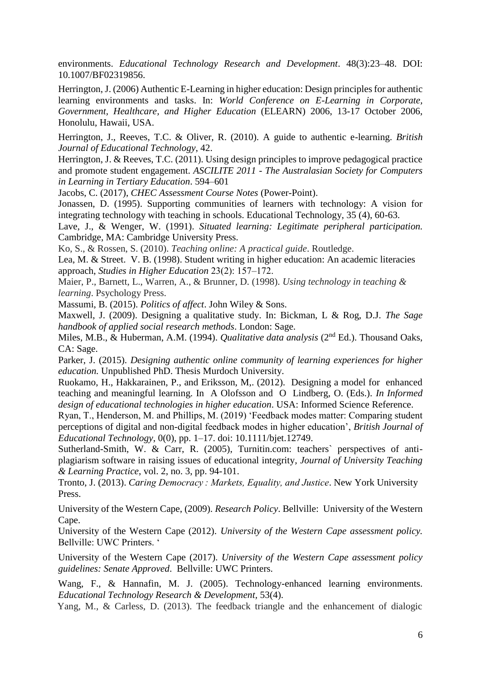environments. *Educational Technology Research and Development*. 48(3):23–48. DOI: 10.1007/BF02319856.

Herrington, J. (2006) Authentic E-Learning in higher education: Design principles for authentic learning environments and tasks. In: *World Conference on E-Learning in Corporate, Government, Healthcare, and Higher Education* (ELEARN) 2006, 13-17 October 2006, Honolulu, Hawaii, USA.

Herrington, J., Reeves, T.C. & Oliver, R. (2010). A guide to authentic e-learning. *British Journal of Educational Technology*, 42.

Herrington, J. & Reeves, T.C. (2011). Using design principles to improve pedagogical practice and promote student engagement. *ASCILITE 2011 - The Australasian Society for Computers in Learning in Tertiary Education*. 594–601

Jacobs, C. (2017), *CHEC Assessment Course Notes* (Power-Point).

Jonassen, D. (1995). Supporting communities of learners with technology: A vision for integrating technology with teaching in schools. Educational Technology, 35 (4), 60-63.

Lave, J., & Wenger, W. (1991). *Situated learning: Legitimate peripheral participation.* Cambridge, MA: Cambridge University Press.

Ko, S., & Rossen, S. (2010). *Teaching online: A practical guide*. Routledge.

Lea, M. & Street. V. B. (1998). Student writing in higher education: An academic literacies approach, *Studies in Higher Education* 23(2): 157–172.

Maier, P., Barnett, L., Warren, A., & Brunner, D. (1998). *Using technology in teaching & learning*. Psychology Press.

Massumi, B. (2015). *Politics of affect*. John Wiley & Sons.

Maxwell, J. (2009). Designing a qualitative study. In: Bickman, L & Rog, D.J. *The Sage handbook of applied social research methods*. London: Sage.

Miles, M.B., & Huberman, A.M. (1994). *Qualitative data analysis* (2nd Ed.). Thousand Oaks, CA: Sage.

Parker, J. (2015). *Designing authentic online community of learning experiences for higher education.* Unpublished PhD. Thesis Murdoch University.

Ruokamo, H., Hakkarainen, P., and Eriksson, M,. (2012). Designing a model for enhanced teaching and meaningful learning. In A Olofsson and O Lindberg, O. (Eds.). *In Informed design of educational technologies in higher education*. USA: Informed Science Reference.

Ryan, T., Henderson, M. and Phillips, M. (2019) 'Feedback modes matter: Comparing student perceptions of digital and non-digital feedback modes in higher education', *British Journal of Educational Technology*, 0(0), pp. 1–17. doi: 10.1111/bjet.12749.

Sutherland-Smith, W. & Carr, R. (2005), Turnitin.com: teachers` perspectives of antiplagiarism software in raising issues of educational integrity*, Journal of University Teaching & Learning Practice*, vol. 2, no. 3, pp. 94-101.

Tronto, J. (2013). *Caring Democracy : Markets, Equality, and Justice*. New York University Press.

University of the Western Cape, (2009). *Research Policy*. Bellville: University of the Western Cape.

University of the Western Cape (2012). *University of the Western Cape assessment policy.* Bellville: UWC Printers. '

University of the Western Cape (2017). *University of the Western Cape assessment policy guidelines: Senate Approved*. Bellville: UWC Printers.

Wang, F., & Hannafin, M. J. (2005). Technology-enhanced learning environments. *Educational Technology Research & Development,* 53(4).

Yang, M., & Carless, D. (2013). The feedback triangle and the enhancement of dialogic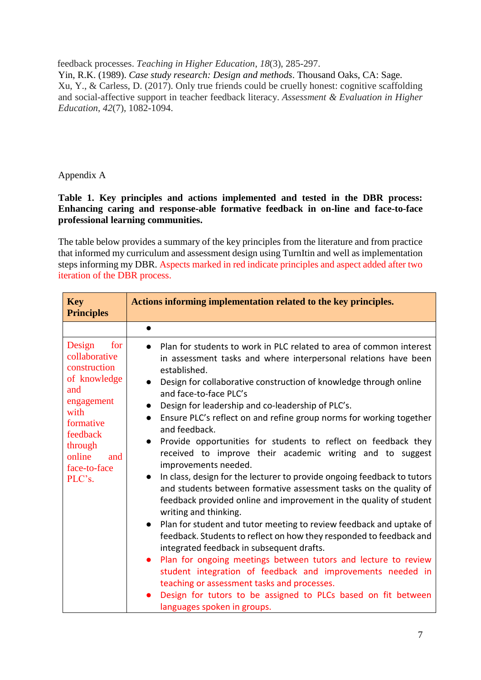feedback processes. *Teaching in Higher Education*, *18*(3), 285-297.

Yin, R.K. (1989). *Case study research: Design and methods*. Thousand Oaks, CA: Sage. Xu, Y., & Carless, D. (2017). Only true friends could be cruelly honest: cognitive scaffolding and social-affective support in teacher feedback literacy. *Assessment & Evaluation in Higher Education*, *42*(7), 1082-1094.

# Appendix A

## **Table 1. Key principles and actions implemented and tested in the DBR process: Enhancing caring and response-able formative feedback in on-line and face-to-face professional learning communities.**

The table below provides a summary of the key principles from the literature and from practice that informed my curriculum and assessment design using TurnItin and well as implementation steps informing my DBR. Aspects marked in red indicate principles and aspect added after two iteration of the DBR process.

| <b>Key</b><br><b>Principles</b>                                                                                                                                            | Actions informing implementation related to the key principles.                                                                                                                                                                                                                                                                                                                                                                                                                                                                                                                                                                                                                                                                                                                                                                                                                                                                                                                                                                                                                                                                                                                                                                                                                                                                                                  |
|----------------------------------------------------------------------------------------------------------------------------------------------------------------------------|------------------------------------------------------------------------------------------------------------------------------------------------------------------------------------------------------------------------------------------------------------------------------------------------------------------------------------------------------------------------------------------------------------------------------------------------------------------------------------------------------------------------------------------------------------------------------------------------------------------------------------------------------------------------------------------------------------------------------------------------------------------------------------------------------------------------------------------------------------------------------------------------------------------------------------------------------------------------------------------------------------------------------------------------------------------------------------------------------------------------------------------------------------------------------------------------------------------------------------------------------------------------------------------------------------------------------------------------------------------|
|                                                                                                                                                                            |                                                                                                                                                                                                                                                                                                                                                                                                                                                                                                                                                                                                                                                                                                                                                                                                                                                                                                                                                                                                                                                                                                                                                                                                                                                                                                                                                                  |
| Design<br>for<br>collaborative<br>construction<br>of knowledge<br>and<br>engagement<br>with<br>formative<br>feedback<br>through<br>online<br>and<br>face-to-face<br>PLC's. | Plan for students to work in PLC related to area of common interest<br>$\bullet$<br>in assessment tasks and where interpersonal relations have been<br>established.<br>Design for collaborative construction of knowledge through online<br>$\bullet$<br>and face-to-face PLC's<br>Design for leadership and co-leadership of PLC's.<br>$\bullet$<br>Ensure PLC's reflect on and refine group norms for working together<br>$\bullet$<br>and feedback.<br>Provide opportunities for students to reflect on feedback they<br>$\bullet$<br>received to improve their academic writing and to suggest<br>improvements needed.<br>In class, design for the lecturer to provide ongoing feedback to tutors<br>and students between formative assessment tasks on the quality of<br>feedback provided online and improvement in the quality of student<br>writing and thinking.<br>Plan for student and tutor meeting to review feedback and uptake of<br>feedback. Students to reflect on how they responded to feedback and<br>integrated feedback in subsequent drafts.<br>Plan for ongoing meetings between tutors and lecture to review<br>$\bullet$<br>student integration of feedback and improvements needed in<br>teaching or assessment tasks and processes.<br>Design for tutors to be assigned to PLCs based on fit between<br>languages spoken in groups. |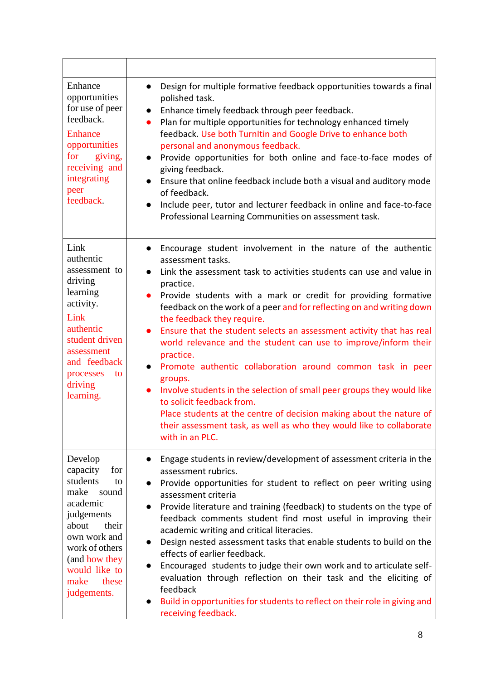| Enhance<br>opportunities<br>for use of peer<br>feedback.<br><b>Enhance</b><br>opportunities<br>for<br>giving,<br>receiving and<br>integrating<br>peer<br>feedback.                                            | Design for multiple formative feedback opportunities towards a final<br>polished task.<br>Enhance timely feedback through peer feedback.<br>Plan for multiple opportunities for technology enhanced timely<br>$\bullet$<br>feedback. Use both TurnItin and Google Drive to enhance both<br>personal and anonymous feedback.<br>Provide opportunities for both online and face-to-face modes of<br>$\bullet$<br>giving feedback.<br>Ensure that online feedback include both a visual and auditory mode<br>of feedback.<br>Include peer, tutor and lecturer feedback in online and face-to-face<br>$\bullet$<br>Professional Learning Communities on assessment task.                                                                                                                                                                                                                             |
|---------------------------------------------------------------------------------------------------------------------------------------------------------------------------------------------------------------|--------------------------------------------------------------------------------------------------------------------------------------------------------------------------------------------------------------------------------------------------------------------------------------------------------------------------------------------------------------------------------------------------------------------------------------------------------------------------------------------------------------------------------------------------------------------------------------------------------------------------------------------------------------------------------------------------------------------------------------------------------------------------------------------------------------------------------------------------------------------------------------------------|
| Link<br>authentic<br>assessment to<br>driving<br>learning<br>activity.<br>Link<br>authentic<br>student driven<br>assessment<br>and feedback<br>processes<br>to<br>driving<br>learning.                        | Encourage student involvement in the nature of the authentic<br>$\bullet$<br>assessment tasks.<br>Link the assessment task to activities students can use and value in<br>$\bullet$<br>practice.<br>Provide students with a mark or credit for providing formative<br>$\bullet$<br>feedback on the work of a peer and for reflecting on and writing down<br>the feedback they require.<br>Ensure that the student selects an assessment activity that has real<br>world relevance and the student can use to improve/inform their<br>practice.<br>Promote authentic collaboration around common task in peer<br>groups.<br>Involve students in the selection of small peer groups they would like<br>to solicit feedback from.<br>Place students at the centre of decision making about the nature of<br>their assessment task, as well as who they would like to collaborate<br>with in an PLC. |
| Develop<br>capacity<br>for<br>students<br>to<br>make<br>sound<br>academic<br>judgements<br>about<br>their<br>own work and<br>work of others<br>(and how they<br>would like to<br>make<br>these<br>judgements. | Engage students in review/development of assessment criteria in the<br>assessment rubrics.<br>Provide opportunities for student to reflect on peer writing using<br>assessment criteria<br>Provide literature and training (feedback) to students on the type of<br>feedback comments student find most useful in improving their<br>academic writing and critical literacies.<br>Design nested assessment tasks that enable students to build on the<br>$\bullet$<br>effects of earlier feedback.<br>Encouraged students to judge their own work and to articulate self-<br>evaluation through reflection on their task and the eliciting of<br>feedback<br>Build in opportunities for students to reflect on their role in giving and<br>$\bullet$<br>receiving feedback.                                                                                                                      |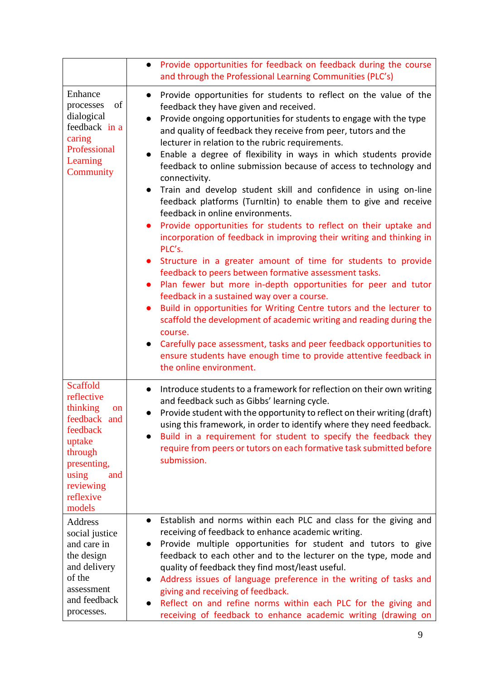|                                                                                                                                                                                | Provide opportunities for feedback on feedback during the course<br>$\bullet$<br>and through the Professional Learning Communities (PLC's)                                                                                                                                                                                                                                                                                                                                                                                                                                                                                                                                                                                                                                                                                                                                                                                                                                                                                                                                                                                                                                                                                                                                                                                                                                                              |
|--------------------------------------------------------------------------------------------------------------------------------------------------------------------------------|---------------------------------------------------------------------------------------------------------------------------------------------------------------------------------------------------------------------------------------------------------------------------------------------------------------------------------------------------------------------------------------------------------------------------------------------------------------------------------------------------------------------------------------------------------------------------------------------------------------------------------------------------------------------------------------------------------------------------------------------------------------------------------------------------------------------------------------------------------------------------------------------------------------------------------------------------------------------------------------------------------------------------------------------------------------------------------------------------------------------------------------------------------------------------------------------------------------------------------------------------------------------------------------------------------------------------------------------------------------------------------------------------------|
| Enhance<br>of<br>processes<br>dialogical<br>feedback in a<br>caring<br>Professional<br>Learning<br>Community                                                                   | Provide opportunities for students to reflect on the value of the<br>$\bullet$<br>feedback they have given and received.<br>Provide ongoing opportunities for students to engage with the type<br>and quality of feedback they receive from peer, tutors and the<br>lecturer in relation to the rubric requirements.<br>Enable a degree of flexibility in ways in which students provide<br>feedback to online submission because of access to technology and<br>connectivity.<br>Train and develop student skill and confidence in using on-line<br>$\bullet$<br>feedback platforms (TurnItin) to enable them to give and receive<br>feedback in online environments.<br>Provide opportunities for students to reflect on their uptake and<br>incorporation of feedback in improving their writing and thinking in<br>PLC's.<br>Structure in a greater amount of time for students to provide<br>feedback to peers between formative assessment tasks.<br>Plan fewer but more in-depth opportunities for peer and tutor<br>feedback in a sustained way over a course.<br>Build in opportunities for Writing Centre tutors and the lecturer to<br>scaffold the development of academic writing and reading during the<br>course.<br>Carefully pace assessment, tasks and peer feedback opportunities to<br>ensure students have enough time to provide attentive feedback in<br>the online environment. |
| <b>Scaffold</b><br>reflective<br>thinking<br><sub>on</sub><br>feedback and<br>feedback<br>uptake<br>through<br>presenting,<br>using<br>and<br>reviewing<br>reflexive<br>models | Introduce students to a framework for reflection on their own writing<br>$\bullet$<br>and feedback such as Gibbs' learning cycle.<br>Provide student with the opportunity to reflect on their writing (draft)<br>$\bullet$<br>using this framework, in order to identify where they need feedback.<br>Build in a requirement for student to specify the feedback they<br>$\bullet$<br>require from peers or tutors on each formative task submitted before<br>submission.                                                                                                                                                                                                                                                                                                                                                                                                                                                                                                                                                                                                                                                                                                                                                                                                                                                                                                                               |
| Address<br>social justice<br>and care in<br>the design<br>and delivery<br>of the<br>assessment<br>and feedback<br>processes.                                                   | Establish and norms within each PLC and class for the giving and<br>$\bullet$<br>receiving of feedback to enhance academic writing.<br>Provide multiple opportunities for student and tutors to give<br>$\bullet$<br>feedback to each other and to the lecturer on the type, mode and<br>quality of feedback they find most/least useful.<br>Address issues of language preference in the writing of tasks and<br>$\bullet$<br>giving and receiving of feedback.<br>Reflect on and refine norms within each PLC for the giving and<br>receiving of feedback to enhance academic writing (drawing on                                                                                                                                                                                                                                                                                                                                                                                                                                                                                                                                                                                                                                                                                                                                                                                                     |